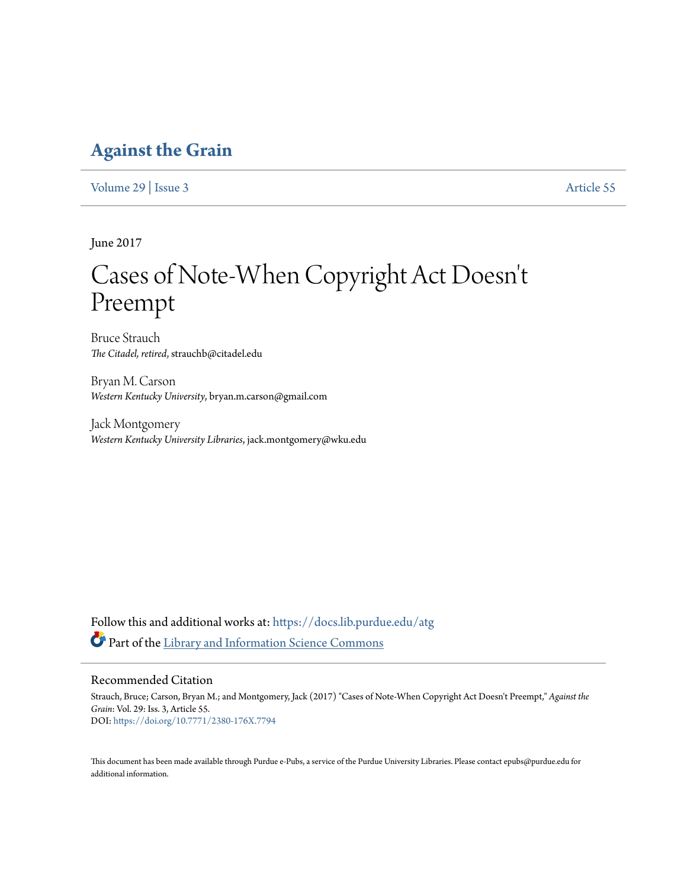### **[Against the Grain](https://docs.lib.purdue.edu/atg?utm_source=docs.lib.purdue.edu%2Fatg%2Fvol29%2Fiss3%2F55&utm_medium=PDF&utm_campaign=PDFCoverPages)**

[Volume 29](https://docs.lib.purdue.edu/atg/vol29?utm_source=docs.lib.purdue.edu%2Fatg%2Fvol29%2Fiss3%2F55&utm_medium=PDF&utm_campaign=PDFCoverPages) | [Issue 3](https://docs.lib.purdue.edu/atg/vol29/iss3?utm_source=docs.lib.purdue.edu%2Fatg%2Fvol29%2Fiss3%2F55&utm_medium=PDF&utm_campaign=PDFCoverPages) [Article 55](https://docs.lib.purdue.edu/atg/vol29/iss3/55?utm_source=docs.lib.purdue.edu%2Fatg%2Fvol29%2Fiss3%2F55&utm_medium=PDF&utm_campaign=PDFCoverPages)

June 2017

## Cases of Note-When Copyright Act Doesn 't Preempt

Bruce Strauch *The Citadel, retired*, strauchb@citadel.edu

Bryan M. Carson *Western Kentucky University*, bryan.m.carson@gmail.com

Jack Montgomery *Western Kentucky University Libraries*, jack.montgomery@wku.edu

Follow this and additional works at: [https://docs.lib.purdue.edu/atg](https://docs.lib.purdue.edu/atg?utm_source=docs.lib.purdue.edu%2Fatg%2Fvol29%2Fiss3%2F55&utm_medium=PDF&utm_campaign=PDFCoverPages) Part of the [Library and Information Science Commons](http://network.bepress.com/hgg/discipline/1018?utm_source=docs.lib.purdue.edu%2Fatg%2Fvol29%2Fiss3%2F55&utm_medium=PDF&utm_campaign=PDFCoverPages)

### Recommended Citation

Strauch, Bruce; Carson, Bryan M.; and Montgomery, Jack (2017) "Cases of Note-When Copyright Act Doesn't Preempt," *Against the Grain*: Vol. 29: Iss. 3, Article 55. DOI: <https://doi.org/10.7771/2380-176X.7794>

This document has been made available through Purdue e-Pubs, a service of the Purdue University Libraries. Please contact epubs@purdue.edu for additional information.